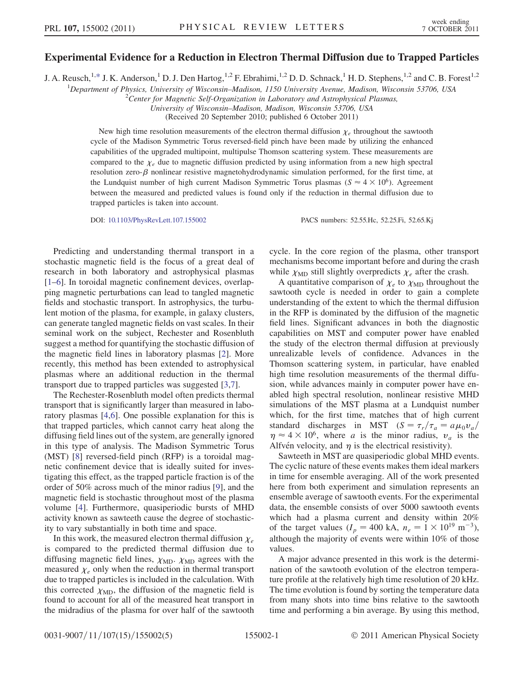## Experimental Evidence for a Reduction in Electron Thermal Diffusion due to Trapped Particles

<span id="page-0-0"></span>J. A. Reusch,<sup>1[,\\*](#page-3-0)</sup> J. K. Anderson,<sup>1</sup> D. J. Den Hartog,<sup>1,2</sup> F. Ebrahimi,<sup>1,2</sup> D. D. Schnack,<sup>1</sup> H. D. Stephens,<sup>1,2</sup> and C. B. Forest<sup>1,2</sup>

<sup>1</sup>Department of Physics, University of Wisconsin–Madison, 1150 University Avenue, Madison, Wisconsin 53706, USA  $^{2}$ Center for Magnetic Self Organization in Laboratory and Astrophysical Plasmas

<sup>2</sup>Center for Magnetic Self-Organization in Laboratory and Astrophysical Plasmas,

University of Wisconsin–Madison, Madison, Wisconsin 53706, USA

(Received 20 September 2010; published 6 October 2011)

New high time resolution measurements of the electron thermal diffusion  $\chi_e$  throughout the sawtooth cycle of the Madison Symmetric Torus reversed-field pinch have been made by utilizing the enhanced capabilities of the upgraded multipoint, multipulse Thomson scattering system. These measurements are compared to the  $\chi_e$  due to magnetic diffusion predicted by using information from a new high spectral resolution zero- $\beta$  nonlinear resistive magnetohydrodynamic simulation performed, for the first time, at the Lundquist number of high current Madison Symmetric Torus plasmas ( $S \approx 4 \times 10^6$ ). Agreement between the measured and predicted values is found only if the reduction in thermal diffusion due to trapped particles is taken into account.

DOI: [10.1103/PhysRevLett.107.155002](http://dx.doi.org/10.1103/PhysRevLett.107.155002) PACS numbers: 52.55.Hc, 52.25.Fi, 52.65.Kj

Predicting and understanding thermal transport in a stochastic magnetic field is the focus of a great deal of research in both laboratory and astrophysical plasmas [\[1–](#page-3-1)[6](#page-3-2)]. In toroidal magnetic confinement devices, overlapping magnetic perturbations can lead to tangled magnetic fields and stochastic transport. In astrophysics, the turbulent motion of the plasma, for example, in galaxy clusters, can generate tangled magnetic fields on vast scales. In their seminal work on the subject, Rechester and Rosenbluth suggest a method for quantifying the stochastic diffusion of the magnetic field lines in laboratory plasmas [[2](#page-3-3)]. More recently, this method has been extended to astrophysical plasmas where an additional reduction in the thermal transport due to trapped particles was suggested [[3,](#page-3-4)[7\]](#page-3-5).

The Rechester-Rosenbluth model often predicts thermal transport that is significantly larger than measured in laboratory plasmas [\[4,](#page-3-6)[6](#page-3-2)]. One possible explanation for this is that trapped particles, which cannot carry heat along the diffusing field lines out of the system, are generally ignored in this type of analysis. The Madison Symmetric Torus (MST) [[8](#page-3-7)] reversed-field pinch (RFP) is a toroidal magnetic confinement device that is ideally suited for investigating this effect, as the trapped particle fraction is of the order of 50% across much of the minor radius [\[9](#page-3-8)], and the magnetic field is stochastic throughout most of the plasma volume [[4\]](#page-3-6). Furthermore, quasiperiodic bursts of MHD activity known as sawteeth cause the degree of stochasticity to vary substantially in both time and space.

In this work, the measured electron thermal diffusion  $\chi_e$ is compared to the predicted thermal diffusion due to diffusing magnetic field lines,  $\chi_{MD}$ .  $\chi_{MD}$  agrees with the measured  $\chi_e$  only when the reduction in thermal transport due to trapped particles is included in the calculation. With this corrected  $\chi_{MD}$ , the diffusion of the magnetic field is found to account for all of the measured heat transport in the midradius of the plasma for over half of the sawtooth cycle. In the core region of the plasma, other transport mechanisms become important before and during the crash while  $\chi_{MD}$  still slightly overpredicts  $\chi_e$  after the crash.

A quantitative comparison of  $\chi_e$  to  $\chi_{MD}$  throughout the sawtooth cycle is needed in order to gain a complete understanding of the extent to which the thermal diffusion in the RFP is dominated by the diffusion of the magnetic field lines. Significant advances in both the diagnostic capabilities on MST and computer power have enabled the study of the electron thermal diffusion at previously unrealizable levels of confidence. Advances in the Thomson scattering system, in particular, have enabled high time resolution measurements of the thermal diffusion, while advances mainly in computer power have enabled high spectral resolution, nonlinear resistive MHD simulations of the MST plasma at a Lundquist number which, for the first time, matches that of high current standard discharges in MST ( $S = \tau_r / \tau_a = a \mu_0 v_a$ /  $\eta \approx 4 \times 10^6$ , where a is the minor radius,  $v_a$  is the Alfvén velocity, and  $\eta$  is the electrical resistivity).

Sawteeth in MST are quasiperiodic global MHD events. The cyclic nature of these events makes them ideal markers in time for ensemble averaging. All of the work presented here from both experiment and simulation represents an ensemble average of sawtooth events. For the experimental data, the ensemble consists of over 5000 sawtooth events which had a plasma current and density within 20% of the target values  $(I_p = 400 \text{ kA}, n_e = 1 \times 10^{19} \text{ m}^{-3}),$ although the majority of events were within 10% of those values.

A major advance presented in this work is the determination of the sawtooth evolution of the electron temperature profile at the relatively high time resolution of 20 kHz. The time evolution is found by sorting the temperature data from many shots into time bins relative to the sawtooth time and performing a bin average. By using this method,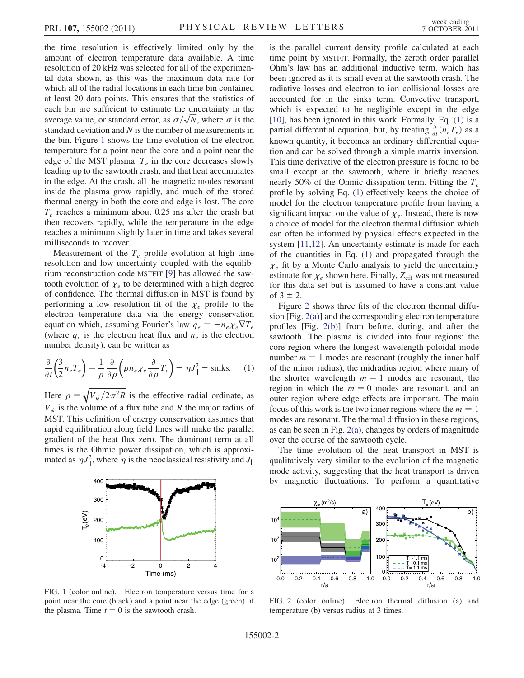the time resolution is effectively limited only by the amount of electron temperature data available. A time resolution of 20 kHz was selected for all of the experimental data shown, as this was the maximum data rate for which all of the radial locations in each time bin contained at least 20 data points. This ensures that the statistics of each bin are sufficient to estimate the uncertainty in the average value, or standard error, as  $\sigma/\sqrt{N}$ , where  $\sigma$  is the standard deviation and N is the number of measurements in the bin. Figure [1](#page-1-0) shows the time evolution of the electron temperature for a point near the core and a point near the edge of the MST plasma.  $T_e$  in the core decreases slowly leading up to the sawtooth crash, and that heat accumulates in the edge. At the crash, all the magnetic modes resonant inside the plasma grow rapidly, and much of the stored thermal energy in both the core and edge is lost. The core  $T_e$  reaches a minimum about 0.25 ms after the crash but then recovers rapidly, while the temperature in the edge reaches a minimum slightly later in time and takes several milliseconds to recover.

Measurement of the  $T_e$  profile evolution at high time resolution and low uncertainty coupled with the equilibrium reconstruction code MSTFIT [[9](#page-3-8)] has allowed the sawtooth evolution of  $\chi_e$  to be determined with a high degree of confidence. The thermal diffusion in MST is found by performing a low resolution fit of the  $\chi_e$  profile to the electron temperature data via the energy conservation equation which, assuming Fourier's law  $q_e = -n_e \chi_e \nabla T_e$ (where  $q_e$  is the electron heat flux and  $n_e$  is the electron number density), can be written as

<span id="page-1-1"></span>
$$
\frac{\partial}{\partial t} \left( \frac{3}{2} n_e T_e \right) = \frac{1}{\rho} \frac{\partial}{\partial \rho} \left( \rho n_e \chi_e \frac{\partial}{\partial \rho} T_e \right) + \eta J_{\parallel}^2 - \text{sinks.} \tag{1}
$$

Here  $\rho = \sqrt{V_{\psi}/2\pi^2 R}$  is the effective radial ordinate, as  $V_{\psi}$  is the volume of a flux tube and R the major radius of MST. This definition of energy conservation assumes that rapid equilibration along field lines will make the parallel gradient of the heat flux zero. The dominant term at all times is the Ohmic power dissipation, which is approximated as  $\eta J_{\parallel}^2$ , where  $\eta$  is the neoclassical resistivity and  $J_{\parallel}$ 

<span id="page-1-0"></span>

FIG. 1 (color online). Electron temperature versus time for a point near the core (black) and a point near the edge (green) of the plasma. Time  $t = 0$  is the sawtooth crash.

is the parallel current density profile calculated at each time point by MSTFIT. Formally, the zeroth order parallel Ohm's law has an additional inductive term, which has been ignored as it is small even at the sawtooth crash. The radiative losses and electron to ion collisional losses are accounted for in the sinks term. Convective transport, which is expected to be negligible except in the edge [\[10\]](#page-3-9), has been ignored in this work. Formally, Eq. ([1\)](#page-1-1) is a partial differential equation, but, by treating  $\frac{\partial}{\partial t} (n_e T_e)$  as a known quantity, it becomes an ordinary differential equation and can be solved through a simple matrix inversion. This time derivative of the electron pressure is found to be small except at the sawtooth, where it briefly reaches nearly 50% of the Ohmic dissipation term. Fitting the  $T_e$ profile by solving Eq. ([1](#page-1-1)) effectively keeps the choice of model for the electron temperature profile from having a significant impact on the value of  $\chi_e$ . Instead, there is now a choice of model for the electron thermal diffusion which can often be informed by physical effects expected in the system [[11](#page-3-10),[12](#page-3-11)]. An uncertainty estimate is made for each of the quantities in Eq. [\(1](#page-1-1)) and propagated through the  $\chi_e$  fit by a Monte Carlo analysis to yield the uncertainty estimate for  $\chi_e$  shown here. Finally,  $Z_{\text{eff}}$  was not measured for this data set but is assumed to have a constant value of  $3 \pm 2$ .

Figure [2](#page-1-2) shows three fits of the electron thermal diffusion [Fig. [2\(a\)\]](#page-1-3) and the corresponding electron temperature profiles [Fig. [2\(b\)](#page-1-3)] from before, during, and after the sawtooth. The plasma is divided into four regions: the core region where the longest wavelength poloidal mode number  $m = 1$  modes are resonant (roughly the inner half of the minor radius), the midradius region where many of the shorter wavelength  $m = 1$  modes are resonant, the region in which the  $m = 0$  modes are resonant, and an outer region where edge effects are important. The main focus of this work is the two inner regions where the  $m = 1$ modes are resonant. The thermal diffusion in these regions, as can be seen in Fig.  $2(a)$ , changes by orders of magnitude over the course of the sawtooth cycle.

The time evolution of the heat transport in MST is qualitatively very similar to the evolution of the magnetic mode activity, suggesting that the heat transport is driven by magnetic fluctuations. To perform a quantitative

<span id="page-1-2"></span>

<span id="page-1-3"></span>FIG. 2 (color online). Electron thermal diffusion (a) and temperature (b) versus radius at 3 times.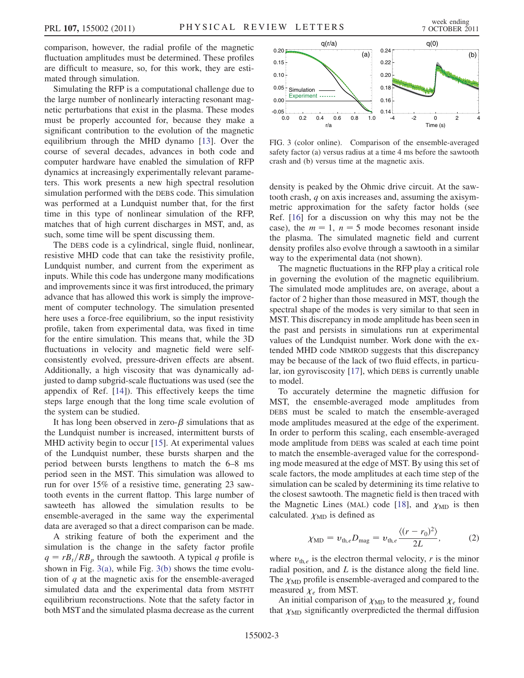comparison, however, the radial profile of the magnetic fluctuation amplitudes must be determined. These profiles are difficult to measure, so, for this work, they are estimated through simulation.

Simulating the RFP is a computational challenge due to the large number of nonlinearly interacting resonant magnetic perturbations that exist in the plasma. These modes must be properly accounted for, because they make a significant contribution to the evolution of the magnetic equilibrium through the MHD dynamo [[13](#page-3-12)]. Over the course of several decades, advances in both code and computer hardware have enabled the simulation of RFP dynamics at increasingly experimentally relevant parameters. This work presents a new high spectral resolution simulation performed with the DEBS code. This simulation was performed at a Lundquist number that, for the first time in this type of nonlinear simulation of the RFP, matches that of high current discharges in MST, and, as such, some time will be spent discussing them.

The DEBS code is a cylindrical, single fluid, nonlinear, resistive MHD code that can take the resistivity profile, Lundquist number, and current from the experiment as inputs. While this code has undergone many modifications and improvements since it was first introduced, the primary advance that has allowed this work is simply the improvement of computer technology. The simulation presented here uses a force-free equilibrium, so the input resistivity profile, taken from experimental data, was fixed in time for the entire simulation. This means that, while the 3D fluctuations in velocity and magnetic field were selfconsistently evolved, pressure-driven effects are absent. Additionally, a high viscosity that was dynamically adjusted to damp subgrid-scale fluctuations was used (see the appendix of Ref. [[14](#page-3-13)]). This effectively keeps the time steps large enough that the long time scale evolution of the system can be studied.

It has long been observed in zero- $\beta$  simulations that as the Lundquist number is increased, intermittent bursts of MHD activity begin to occur [\[15\]](#page-4-0). At experimental values of the Lundquist number, these bursts sharpen and the period between bursts lengthens to match the 6–8 ms period seen in the MST. This simulation was allowed to run for over 15% of a resistive time, generating 23 sawtooth events in the current flattop. This large number of sawteeth has allowed the simulation results to be ensemble-averaged in the same way the experimental data are averaged so that a direct comparison can be made.

A striking feature of both the experiment and the simulation is the change in the safety factor profile  $q = rB_t/RB_p$  through the sawtooth. A typical q profile is shown in Fig.  $3(a)$ , while Fig.  $3(b)$  shows the time evolution of  $q$  at the magnetic axis for the ensemble-averaged simulated data and the experimental data from MSTFIT equilibrium reconstructions. Note that the safety factor in both MST and the simulated plasma decrease as the current



<span id="page-2-0"></span>FIG. 3 (color online). Comparison of the ensemble-averaged safety factor (a) versus radius at a time 4 ms before the sawtooth crash and (b) versus time at the magnetic axis.

density is peaked by the Ohmic drive circuit. At the sawtooth crash, q on axis increases and, assuming the axisymmetric approximation for the safety factor holds (see Ref. [[16](#page-4-1)] for a discussion on why this may not be the case), the  $m = 1$ ,  $n = 5$  mode becomes resonant inside the plasma. The simulated magnetic field and current density profiles also evolve through a sawtooth in a similar way to the experimental data (not shown).

The magnetic fluctuations in the RFP play a critical role in governing the evolution of the magnetic equilibrium. The simulated mode amplitudes are, on average, about a factor of 2 higher than those measured in MST, though the spectral shape of the modes is very similar to that seen in MST. This discrepancy in mode amplitude has been seen in the past and persists in simulations run at experimental values of the Lundquist number. Work done with the extended MHD code NIMROD suggests that this discrepancy may be because of the lack of two fluid effects, in particular, ion gyroviscosity [[17](#page-4-2)], which DEBS is currently unable to model.

To accurately determine the magnetic diffusion for MST, the ensemble-averaged mode amplitudes from DEBS must be scaled to match the ensemble-averaged mode amplitudes measured at the edge of the experiment. In order to perform this scaling, each ensemble-averaged mode amplitude from DEBS was scaled at each time point to match the ensemble-averaged value for the corresponding mode measured at the edge of MST. By using this set of scale factors, the mode amplitudes at each time step of the simulation can be scaled by determining its time relative to the closest sawtooth. The magnetic field is then traced with the Magnetic Lines (MAL) code [\[18\]](#page-4-3), and  $\chi_{MD}$  is then calculated.  $\chi_{MD}$  is defined as

$$
\chi_{\rm MD} = v_{\rm th,e} D_{\rm mag} = v_{\rm th,e} \frac{\langle (r - r_0)^2 \rangle}{2L}, \tag{2}
$$

where  $v_{th,e}$  is the electron thermal velocity, r is the minor radial position, and  $L$  is the distance along the field line. The  $\chi_{MD}$  profile is ensemble-averaged and compared to the measured  $\chi_e$  from MST.

An initial comparison of  $\chi_{MD}$  to the measured  $\chi_e$  found that  $\chi_{\text{MD}}$  significantly overpredicted the thermal diffusion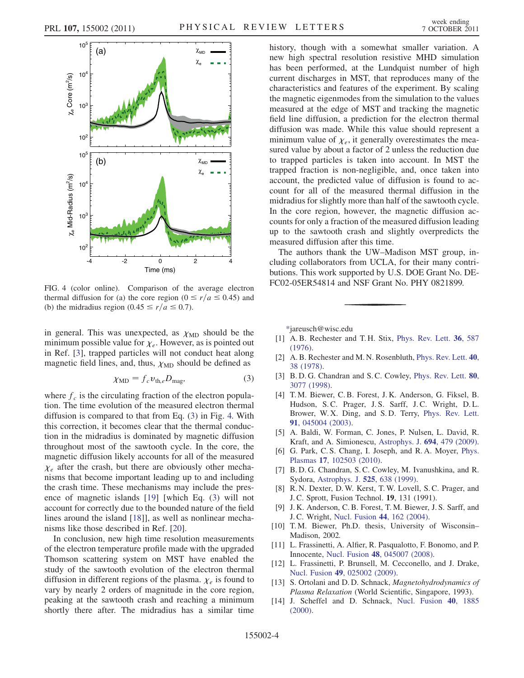<span id="page-3-15"></span>

FIG. 4 (color online). Comparison of the average electron thermal diffusion for (a) the core region ( $0 \le r/a \le 0.45$ ) and (b) the midradius region (0.45  $\leq r/a \leq 0.7$ ).

in general. This was unexpected, as  $\chi_{MD}$  should be the minimum possible value for  $\chi_e$ . However, as is pointed out in Ref. [[3](#page-3-4)], trapped particles will not conduct heat along magnetic field lines, and, thus,  $\chi_{MD}$  should be defined as

$$
\chi_{\rm MD} = f_c v_{\rm th,e} D_{\rm mag},\tag{3}
$$

<span id="page-3-14"></span>where  $f_c$  is the circulating fraction of the electron population. The time evolution of the measured electron thermal diffusion is compared to that from Eq. ([3\)](#page-3-14) in Fig. [4.](#page-3-15) With this correction, it becomes clear that the thermal conduction in the midradius is dominated by magnetic diffusion throughout most of the sawtooth cycle. In the core, the magnetic diffusion likely accounts for all of the measured  $\chi_e$  after the crash, but there are obviously other mechanisms that become important leading up to and including the crash time. These mechanisms may include the presence of magnetic islands [[19](#page-4-4)] [which Eq. [\(3](#page-3-14)) will not account for correctly due to the bounded nature of the field lines around the island [[18](#page-4-3)]], as well as nonlinear mechanisms like those described in Ref. [\[20](#page-4-5)].

In conclusion, new high time resolution measurements of the electron temperature profile made with the upgraded Thomson scattering system on MST have enabled the study of the sawtooth evolution of the electron thermal diffusion in different regions of the plasma.  $\chi_e$  is found to vary by nearly 2 orders of magnitude in the core region, peaking at the sawtooth crash and reaching a minimum shortly there after. The midradius has a similar time history, though with a somewhat smaller variation. A new high spectral resolution resistive MHD simulation has been performed, at the Lundquist number of high current discharges in MST, that reproduces many of the characteristics and features of the experiment. By scaling the magnetic eigenmodes from the simulation to the values measured at the edge of MST and tracking the magnetic field line diffusion, a prediction for the electron thermal diffusion was made. While this value should represent a minimum value of  $\chi_e$ , it generally overestimates the measured value by about a factor of 2 unless the reduction due to trapped particles is taken into account. In MST the trapped fraction is non-negligible, and, once taken into account, the predicted value of diffusion is found to account for all of the measured thermal diffusion in the midradius for slightly more than half of the sawtooth cycle. In the core region, however, the magnetic diffusion accounts for only a fraction of the measured diffusion leading up to the sawtooth crash and slightly overpredicts the measured diffusion after this time.

The authors thank the UW–Madison MST group, including collaborators from UCLA, for their many contributions. This work supported by U.S. DOE Grant No. DE-FC02-05ER54814 and NSF Grant No. PHY 0821899.

<span id="page-3-0"></span>[\\*j](#page-0-0)areusch@wisc.edu

- <span id="page-3-3"></span><span id="page-3-1"></span>[1] A. B. Rechester and T. H. Stix, [Phys. Rev. Lett.](http://dx.doi.org/10.1103/PhysRevLett.36.587) 36, 587 [\(1976\)](http://dx.doi.org/10.1103/PhysRevLett.36.587).
- <span id="page-3-4"></span>[2] A. B. Rechester and M. N. Rosenbluth, [Phys. Rev. Lett.](http://dx.doi.org/10.1103/PhysRevLett.40.38) 40, [38 \(1978\).](http://dx.doi.org/10.1103/PhysRevLett.40.38)
- <span id="page-3-6"></span>[3] B.D.G. Chandran and S.C. Cowley, [Phys. Rev. Lett.](http://dx.doi.org/10.1103/PhysRevLett.80.3077) 80, [3077 \(1998\)](http://dx.doi.org/10.1103/PhysRevLett.80.3077).
- [4] T. M. Biewer, C. B. Forest, J. K. Anderson, G. Fiksel, B. Hudson, S.C. Prager, J.S. Sarff, J.C. Wright, D.L. Brower, W. X. Ding, and S. D. Terry, [Phys. Rev. Lett.](http://dx.doi.org/10.1103/PhysRevLett.91.045004) 91[, 045004 \(2003\)](http://dx.doi.org/10.1103/PhysRevLett.91.045004).
- <span id="page-3-2"></span>[5] A. Baldi, W. Forman, C. Jones, P. Nulsen, L. David, R. Kraft, and A. Simionescu, [Astrophys. J.](http://dx.doi.org/10.1088/0004-637X/694/1/479) 694, 479 (2009).
- <span id="page-3-5"></span>[6] G. Park, C. S. Chang, I. Joseph, and R. A. Moyer, [Phys.](http://dx.doi.org/10.1063/1.3487733) Plasmas 17[, 102503 \(2010\)](http://dx.doi.org/10.1063/1.3487733).
- <span id="page-3-7"></span>[7] B. D. G. Chandran, S. C. Cowley, M. Ivanushkina, and R. Sydora, [Astrophys. J.](http://dx.doi.org/10.1086/307915) 525, 638 (1999).
- <span id="page-3-8"></span>[8] R. N. Dexter, D. W. Kerst, T. W. Lovell, S. C. Prager, and J. C. Sprott, Fusion Technol. 19, 131 (1991).
- <span id="page-3-9"></span>[9] J. K. Anderson, C. B. Forest, T. M. Biewer, J. S. Sarff, and J. C. Wright, [Nucl. Fusion](http://dx.doi.org/10.1088/0029-5515/44/1/018) 44, 162 (2004).
- <span id="page-3-10"></span>[10] T.M. Biewer, Ph.D. thesis, University of Wisconsin– Madison, 2002.
- <span id="page-3-11"></span>[11] L. Frassinetti, A. Alfier, R. Pasqualotto, F. Bonomo, and P. Innocente, Nucl. Fusion 48[, 045007 \(2008\).](http://dx.doi.org/10.1088/0029-5515/48/4/045007)
- <span id="page-3-12"></span>[12] L. Frassinetti, P. Brunsell, M. Cecconello, and J. Drake, Nucl. Fusion 49[, 025002 \(2009\).](http://dx.doi.org/10.1088/0029-5515/49/2/025002)
- <span id="page-3-13"></span>[13] S. Ortolani and D. D. Schnack, Magnetohydrodynamics of Plasma Relaxation (World Scientific, Singapore, 1993).
- [14] J. Scheffel and D. Schnack, [Nucl. Fusion](http://dx.doi.org/10.1088/0029-5515/40/11/308) 40, 1885 [\(2000\)](http://dx.doi.org/10.1088/0029-5515/40/11/308).